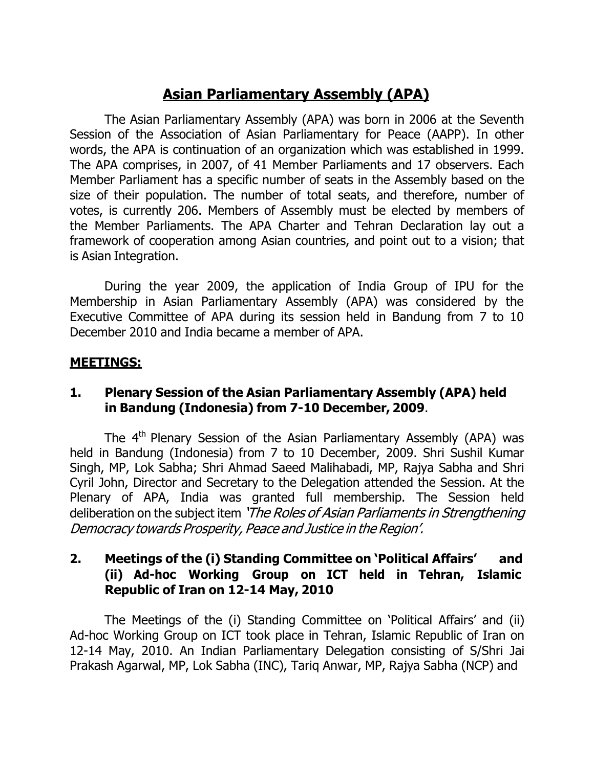# **Asian Parliamentary Assembly (APA)**

The Asian Parliamentary Assembly (APA) was born in 2006 at the Seventh Session of the Association of Asian Parliamentary for Peace (AAPP). In other words, the APA is continuation of an organization which was established in 1999. The APA comprises, in 2007, of 41 Member Parliaments and 17 observers. Each Member Parliament has a specific number of seats in the Assembly based on the size of their population. The number of total seats, and therefore, number of votes, is currently 206. Members of Assembly must be elected by members of the Member Parliaments. The APA Charter and Tehran Declaration lay out a framework of cooperation among Asian countries, and point out to a vision; that is Asian Integration.

During the year 2009, the application of India Group of IPU for the Membership in Asian Parliamentary Assembly (APA) was considered by the Executive Committee of APA during its session held in Bandung from 7 to 10 December 2010 and India became a member of APA.

#### **MEETINGS:**

### **1. Plenary Session of the Asian Parliamentary Assembly (APA) held in Bandung (Indonesia) from 7-10 December, 2009**.

The 4<sup>th</sup> Plenary Session of the Asian Parliamentary Assembly (APA) was held in Bandung (Indonesia) from 7 to 10 December, 2009. Shri Sushil Kumar Singh, MP, Lok Sabha; Shri Ahmad Saeed Malihabadi, MP, Rajya Sabha and Shri Cyril John, Director and Secretary to the Delegation attended the Session. At the Plenary of APA, India was granted full membership. The Session held deliberation on the subject item 'The Roles of Asian Parliaments in Strengthening Democracy towards Prosperity, Peace and Justice in the Region'.

### **2. Meetings of the (i) Standing Committee on 'Political Affairs' and (ii) Ad-hoc Working Group on ICT held in Tehran, Islamic Republic of Iran on 12-14 May, 2010**

The Meetings of the (i) Standing Committee on 'Political Affairs' and (ii) Ad-hoc Working Group on ICT took place in Tehran, Islamic Republic of Iran on 12-14 May, 2010. An Indian Parliamentary Delegation consisting of S/Shri Jai Prakash Agarwal, MP, Lok Sabha (INC), Tariq Anwar, MP, Rajya Sabha (NCP) and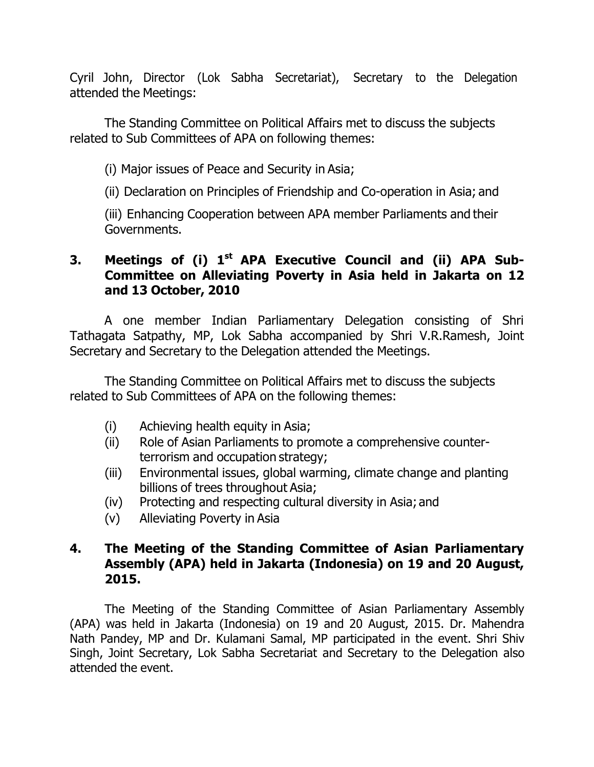Cyril John, Director (Lok Sabha Secretariat), Secretary to the Delegation attended the Meetings:

The Standing Committee on Political Affairs met to discuss the subjects related to Sub Committees of APA on following themes:

(i) Major issues of Peace and Security in Asia;

(ii) Declaration on Principles of Friendship and Co-operation in Asia; and

(iii) Enhancing Cooperation between APA member Parliaments and their Governments.

## **3. Meetings of (i) 1 st APA Executive Council and (ii) APA Sub-Committee on Alleviating Poverty in Asia held in Jakarta on 12 and 13 October, 2010**

A one member Indian Parliamentary Delegation consisting of Shri Tathagata Satpathy, MP, Lok Sabha accompanied by Shri V.R.Ramesh, Joint Secretary and Secretary to the Delegation attended the Meetings.

The Standing Committee on Political Affairs met to discuss the subjects related to Sub Committees of APA on the following themes:

- (i) Achieving health equity in Asia;
- (ii) Role of Asian Parliaments to promote a comprehensive counterterrorism and occupation strategy;
- (iii) Environmental issues, global warming, climate change and planting billions of trees throughout Asia;
- (iv) Protecting and respecting cultural diversity in Asia; and
- (v) Alleviating Poverty in Asia

## **4. The Meeting of the Standing Committee of Asian Parliamentary Assembly (APA) held in Jakarta (Indonesia) on 19 and 20 August, 2015.**

The Meeting of the Standing Committee of Asian Parliamentary Assembly (APA) was held in Jakarta (Indonesia) on 19 and 20 August, 2015. Dr. Mahendra Nath Pandey, MP and Dr. Kulamani Samal, MP participated in the event. Shri Shiv Singh, Joint Secretary, Lok Sabha Secretariat and Secretary to the Delegation also attended the event.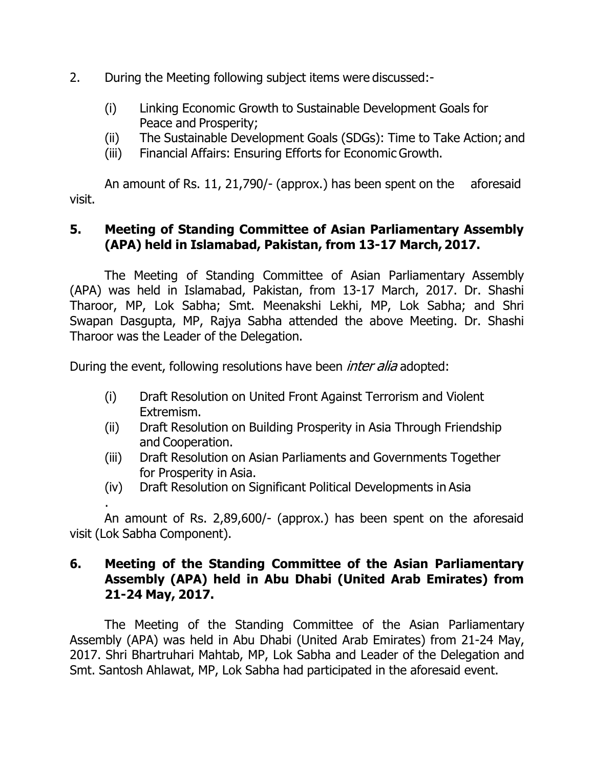- 2. During the Meeting following subject items were discussed:-
	- (i) Linking Economic Growth to Sustainable Development Goals for Peace and Prosperity;
	- (ii) The Sustainable Development Goals (SDGs): Time to Take Action; and
	- (iii) Financial Affairs: Ensuring Efforts for Economic Growth.

visit. An amount of Rs. 11, 21,790/- (approx.) has been spent on the aforesaid

# **5. Meeting of Standing Committee of Asian Parliamentary Assembly (APA) held in Islamabad, Pakistan, from 13-17 March, 2017.**

The Meeting of Standing Committee of Asian Parliamentary Assembly (APA) was held in Islamabad, Pakistan, from 13-17 March, 2017. Dr. Shashi Tharoor, MP, Lok Sabha; Smt. Meenakshi Lekhi, MP, Lok Sabha; and Shri Swapan Dasgupta, MP, Rajya Sabha attended the above Meeting. Dr. Shashi Tharoor was the Leader of the Delegation.

During the event, following resolutions have been *inter alia* adopted:

.

- (i) Draft Resolution on United Front Against Terrorism and Violent Extremism.
- (ii) Draft Resolution on Building Prosperity in Asia Through Friendship and Cooperation.
- (iii) Draft Resolution on Asian Parliaments and Governments Together for Prosperity in Asia.
- (iv) Draft Resolution on Significant Political Developments in Asia

An amount of Rs. 2,89,600/- (approx.) has been spent on the aforesaid visit (Lok Sabha Component).

## **6. Meeting of the Standing Committee of the Asian Parliamentary Assembly (APA) held in Abu Dhabi (United Arab Emirates) from 21-24 May, 2017.**

The Meeting of the Standing Committee of the Asian Parliamentary Assembly (APA) was held in Abu Dhabi (United Arab Emirates) from 21-24 May, 2017. Shri Bhartruhari Mahtab, MP, Lok Sabha and Leader of the Delegation and Smt. Santosh Ahlawat, MP, Lok Sabha had participated in the aforesaid event.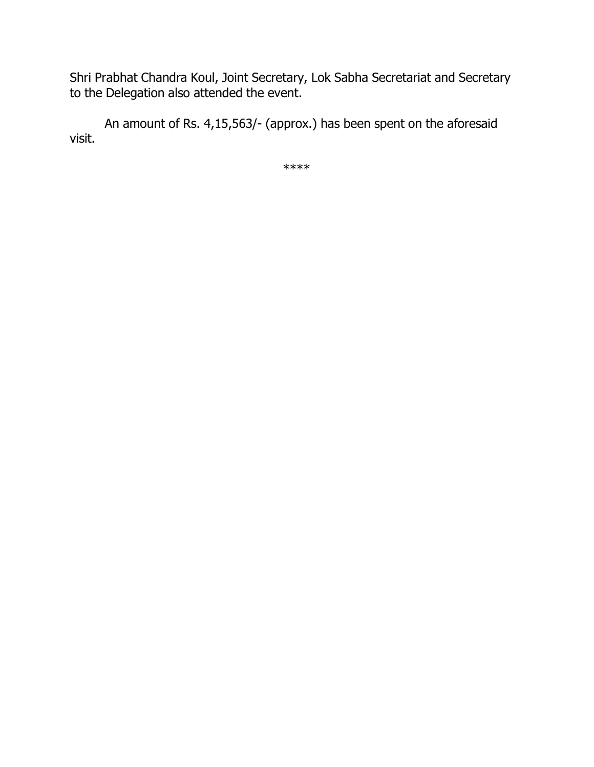Shri Prabhat Chandra Koul, Joint Secretary, Lok Sabha Secretariat and Secretary to the Delegation also attended the event.

visit. An amount of Rs. 4,15,563/- (approx.) has been spent on the aforesaid

\*\*\*\*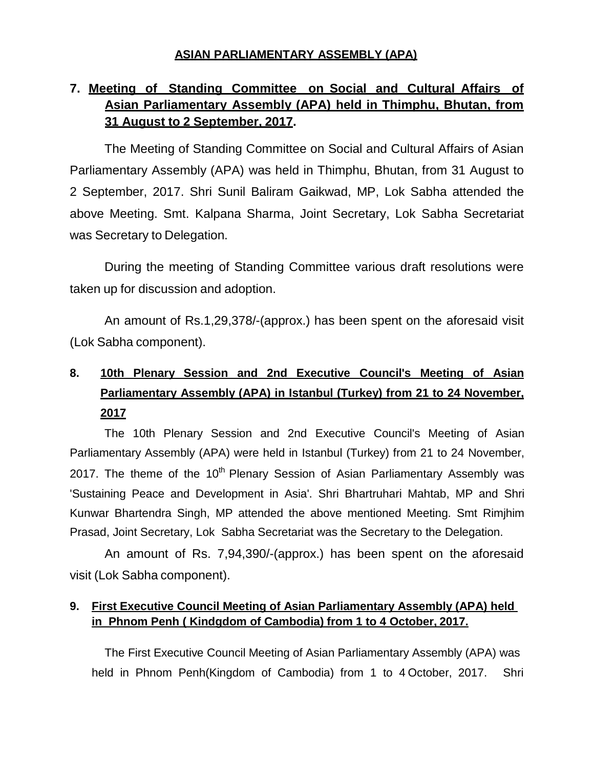#### **ASIAN PARLIAMENTARY ASSEMBLY (APA)**

# **7. Meeting of Standing Committee on Social and Cultural Affairs of Asian Parliamentary Assembly (APA) held in Thimphu, Bhutan, from 31 August to 2 September, 2017.**

The Meeting of Standing Committee on Social and Cultural Affairs of Asian Parliamentary Assembly (APA) was held in Thimphu, Bhutan, from 31 August to 2 September, 2017. Shri Sunil Baliram Gaikwad, MP, Lok Sabha attended the above Meeting. Smt. Kalpana Sharma, Joint Secretary, Lok Sabha Secretariat was Secretary to Delegation.

During the meeting of Standing Committee various draft resolutions were taken up for discussion and adoption.

An amount of Rs.1,29,378/-(approx.) has been spent on the aforesaid visit (Lok Sabha component).

# **8. 10th Plenary Session and 2nd Executive Council's Meeting of Asian Parliamentary Assembly (APA) in Istanbul (Turkey) from 21 to 24 November, 2017**

The 10th Plenary Session and 2nd Executive Council's Meeting of Asian Parliamentary Assembly (APA) were held in Istanbul (Turkey) from 21 to 24 November, 2017. The theme of the  $10<sup>th</sup>$  Plenary Session of Asian Parliamentary Assembly was 'Sustaining Peace and Development in Asia'. Shri Bhartruhari Mahtab, MP and Shri Kunwar Bhartendra Singh, MP attended the above mentioned Meeting. Smt Rimjhim Prasad, Joint Secretary, Lok Sabha Secretariat was the Secretary to the Delegation.

An amount of Rs. 7,94,390/-(approx.) has been spent on the aforesaid visit (Lok Sabha component).

#### **9. First Executive Council Meeting of Asian Parliamentary Assembly (APA) held in Phnom Penh ( Kindgdom of Cambodia) from 1 to 4 October, 2017.**

The First Executive Council Meeting of Asian Parliamentary Assembly (APA) was held in Phnom Penh(Kingdom of Cambodia) from 1 to 4 October, 2017. Shri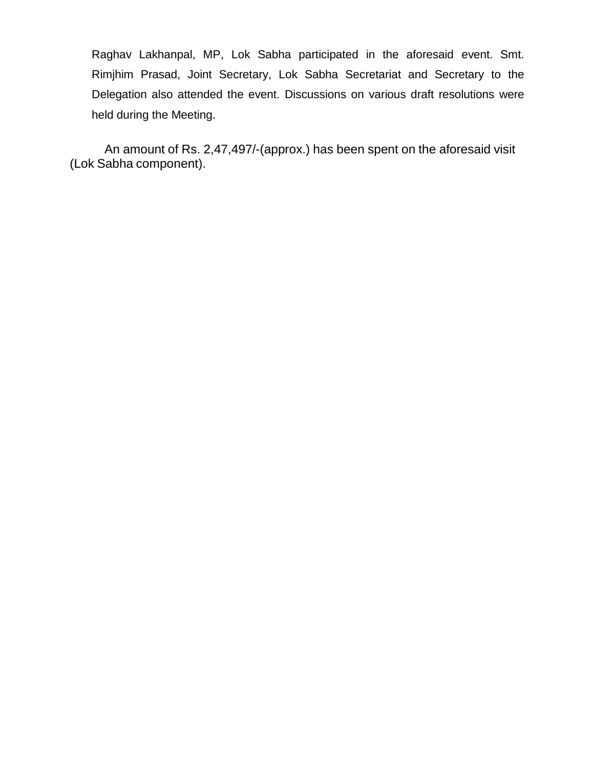Raghav Lakhanpal, MP, Lok Sabha participated in the aforesaid event. Smt. Rimjhim Prasad, Joint Secretary, Lok Sabha Secretariat and Secretary to the Delegation also attended the event. Discussions on various draft resolutions were held during the Meeting.

An amount of Rs. 2,47,497/-(approx.) has been spent on the aforesaid visit (Lok Sabha component).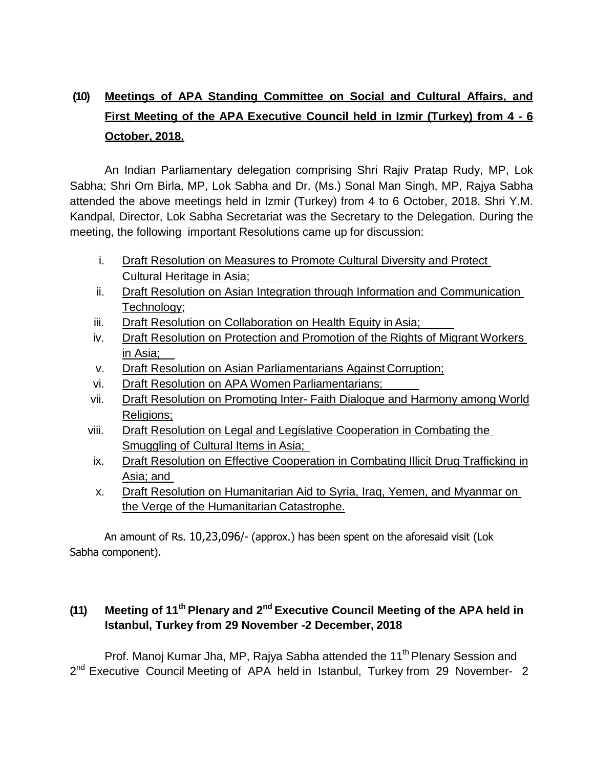# **(10) Meetings of APA Standing Committee on Social and Cultural Affairs, and First Meeting of the APA Executive Council held in Izmir (Turkey) from 4 - 6 October, 2018.**

An Indian Parliamentary delegation comprising Shri Rajiv Pratap Rudy, MP, Lok Sabha; Shri Om Birla, MP, Lok Sabha and Dr. (Ms.) Sonal Man Singh, MP, Rajya Sabha attended the above meetings held in Izmir (Turkey) from 4 to 6 October, 2018. Shri Y.M. Kandpal, Director, Lok Sabha Secretariat was the Secretary to the Delegation. During the meeting, the following important Resolutions came up for discussion:

- i. Draft Resolution on Measures to Promote Cultural Diversity and Protect Cultural Heritage in Asia;
- ii. Draft Resolution on Asian Integration through Information and Communication Technology;
- iii. Draft Resolution on Collaboration on Health Equity in Asia;
- iv. Draft Resolution on Protection and Promotion of the Rights of Migrant Workers in Asia;
- v. Draft Resolution on Asian Parliamentarians Against Corruption;
- vi. Draft Resolution on APA Women Parliamentarians;
- vii. Draft Resolution on Promoting Inter- Faith Dialogue and Harmony among World Religions;
- viii. Draft Resolution on Legal and Legislative Cooperation in Combating the Smuggling of Cultural Items in Asia;
- ix. Draft Resolution on Effective Cooperation in Combating Illicit Drug Trafficking in Asia; and
- x. Draft Resolution on Humanitarian Aid to Syria, Iraq, Yemen, and Myanmar on the Verge of the Humanitarian Catastrophe.

An amount of Rs. 10,23,096/- (approx.) has been spent on the aforesaid visit (Lok Sabha component).

## **(11) Meeting of 11th Plenary and 2 nd Executive Council Meeting of the APA held in Istanbul, Turkey from 29 November -2 December, 2018**

Prof. Manoj Kumar Jha, MP, Rajya Sabha attended the 11<sup>th</sup> Plenary Session and 2<sup>nd</sup> Executive Council Meeting of APA held in Istanbul, Turkey from 29 November- 2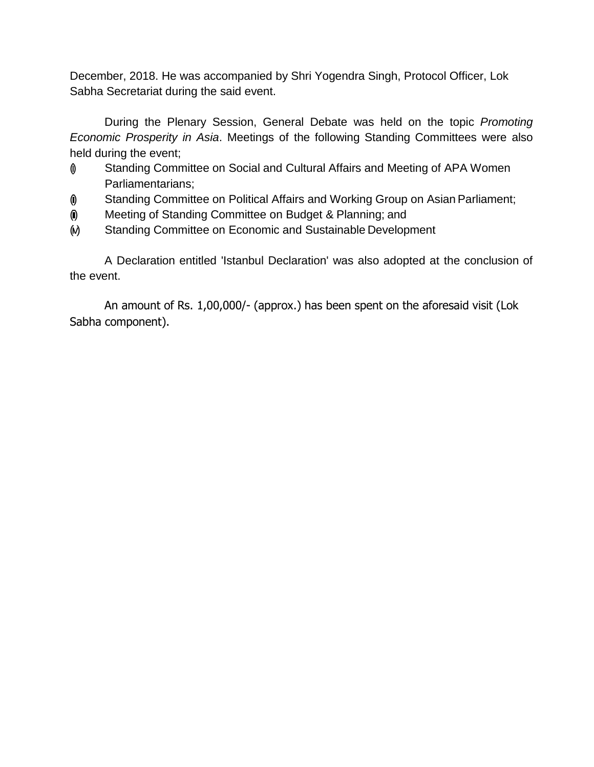December, 2018. He was accompanied by Shri Yogendra Singh, Protocol Officer, Lok Sabha Secretariat during the said event.

During the Plenary Session, General Debate was held on the topic *Promoting Economic Prosperity in Asia*. Meetings of the following Standing Committees were also held during the event;

- (i) Standing Committee on Social and Cultural Affairs and Meeting of APA Women Parliamentarians;
- (i) Standing Committee on Political Affairs and Working Group on Asian Parliament;
- $\phi$  Meeting of Standing Committee on Budget & Planning; and
- (ii) Standing Committee on Economic and Sustainable Development

A Declaration entitled 'Istanbul Declaration' was also adopted at the conclusion of the event.

An amount of Rs. 1,00,000/- (approx.) has been spent on the aforesaid visit (Lok Sabha component).